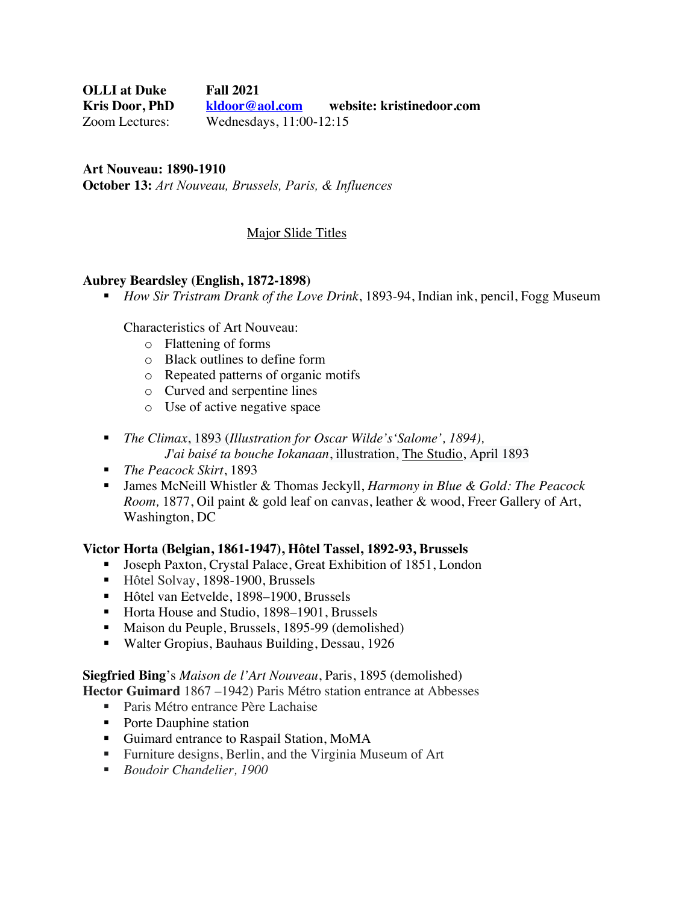**OLLI at Duke Fall 2021 Kris Door, PhD kldoor@aol.com website: kristinedoor.com**  Zoom Lectures: Wednesdays, 11:00-12:15

**Art Nouveau: 1890-1910 October 13:** *Art Nouveau, Brussels, Paris, & Influences*

## Major Slide Titles

#### **Aubrey Beardsley (English, 1872-1898)**

■ *How Sir Tristram Drank of the Love Drink*, 1893-94, Indian ink, pencil, Fogg Museum

Characteristics of Art Nouveau:

- o Flattening of forms
- o Black outlines to define form
- o Repeated patterns of organic motifs
- o Curved and serpentine lines
- o Use of active negative space
- § *The Climax*, 1893 (*Illustration for Oscar Wilde's'Salome', 1894), J'ai baisé ta bouche Iokanaan*, illustration, The Studio, April 1893
- *The Peacock Skirt*, 1893
- § James McNeill Whistler & Thomas Jeckyll, *Harmony in Blue & Gold: The Peacock Room,* 1877, Oil paint & gold leaf on canvas, leather & wood, Freer Gallery of Art, Washington, DC

#### **Victor Horta (Belgian, 1861-1947), Hôtel Tassel, 1892-93, Brussels**

- Joseph Paxton, Crystal Palace, Great Exhibition of 1851, London
- Hôtel Solvay, 1898-1900, Brussels
- Hôtel van Eetvelde, 1898–1900, Brussels
- Horta House and Studio, 1898–1901, Brussels
- Maison du Peuple, Brussels, 1895-99 (demolished)
- Walter Gropius, Bauhaus Building, Dessau, 1926

### **Siegfried Bing**'s *Maison de l'Art Nouveau*, Paris, 1895 (demolished)

**Hector Guimard** 1867 –1942) Paris Métro station entrance at Abbesses

- Paris Métro entrance Père Lachaise
- Porte Dauphine station
- Guimard entrance to Raspail Station, MoMA
- Furniture designs, Berlin, and the Virginia Museum of Art
- *Boudoir Chandelier, 1900*